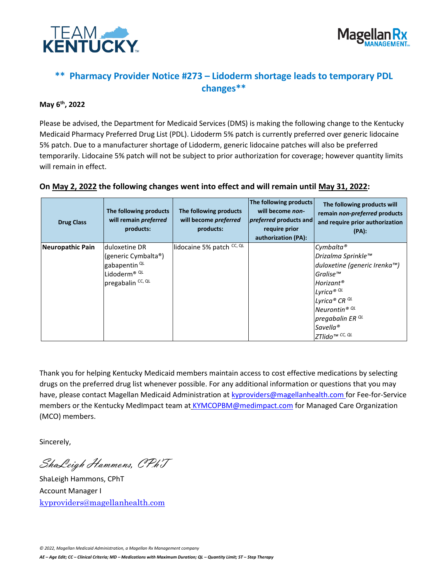



## **\*\* Pharmacy Provider Notice #273 – Lidoderm shortage leads to temporary PDL changes\*\***

## **May 6th, 2022**

Please be advised, the Department for Medicaid Services (DMS) is making the following change to the Kentucky Medicaid Pharmacy Preferred Drug List (PDL). Lidoderm 5% patch is currently preferred over generic lidocaine 5% patch. Due to a manufacturer shortage of Lidoderm, generic lidocaine patches will also be preferred temporarily. Lidocaine 5% patch will not be subject to prior authorization for coverage; however quantity limits will remain in effect.

| <b>Drug Class</b> | The following products<br>will remain preferred<br>products:                                                      | The following products<br>will become preferred<br>products: | The following products<br>will become non-<br><i>preferred</i> products and<br>require prior<br>authorization (PA): | The following products will<br>remain non-preferred products<br>and require prior authorization<br>$(PA)$ :                                                                                                                                                      |
|-------------------|-------------------------------------------------------------------------------------------------------------------|--------------------------------------------------------------|---------------------------------------------------------------------------------------------------------------------|------------------------------------------------------------------------------------------------------------------------------------------------------------------------------------------------------------------------------------------------------------------|
| Neuropathic Pain  | Iduloxetine DR<br>(generic Cymbalta®)<br>gabapentin <sup>QL</sup><br>Lidoderm® QL<br>pregabalin <sup>cc, QL</sup> | lidocaine 5% patch CC, QL                                    |                                                                                                                     | Cymbalta®<br>Drizalma Sprinkle™<br>duloxetine (generic Irenka™)<br>$G$ ralise $^{r m}$<br>Horizant <sup>®</sup><br>Lyrica <sup>® QL</sup><br>Lyrica® CR QL<br>Neurontin <sup>® QL</sup><br>pregabalin ER <sup>QL</sup><br>Savella <sup>®</sup><br>ZTlido™ CC, QL |

## **On May 2, 2022 the following changes went into effect and will remain until May 31, 2022:**

Thank you for helping Kentucky Medicaid members maintain access to cost effective medications by selecting drugs on the preferred drug list whenever possible. For any additional information or questions that you may have, please contact Magellan Medicaid Administration at [kyproviders@magellanhealth.com](mailto:kyproviders@magellanhealth.com) for Fee-for-Service members or the Kentucky MedImpact team at [KYMCOPBM@medimpact.com](mailto:KYMCOPBM@medimpact.com) for Managed Care Organization (MCO) members.

Sincerely,

ShaLeigh Hammons, CPhT

ShaLeigh Hammons, CPhT Account Manager I [kyproviders@magellanhealth.com](mailto:kyproviders@magellanhealth.com)